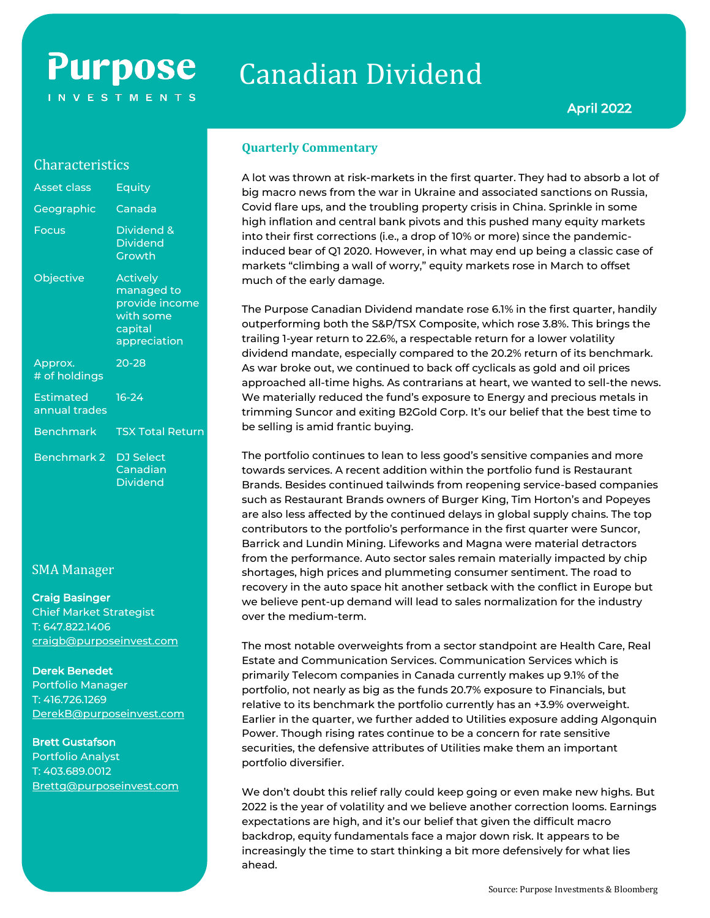# **Purpose INVESTMENTS**

# Canadian Dividend

### **Characteristics**

| <b>Asset class</b>                | Equity                                                                                  |
|-----------------------------------|-----------------------------------------------------------------------------------------|
| Geographic                        | Canada                                                                                  |
| <b>Focus</b>                      | Dividend &<br><b>Dividend</b><br>Growth                                                 |
| Objective                         | <b>Actively</b><br>managed to<br>provide income<br>with some<br>capital<br>appreciation |
| Approx.<br># of holdings          | $20 - 28$                                                                               |
| <b>Estimated</b><br>annual trades | $16-24$                                                                                 |
| <b>Benchmark</b>                  | <b>TSX Total Return</b>                                                                 |
| <b>Benchmark 2</b>                | <b>DJ</b> Select<br>Canadian<br><b>Dividend</b>                                         |

## SMA Manager

#### Craig Basinger

Chief Market Strategist T: 647.822.1406 [craigb@purposeinvest.com](mailto:craigb@purposeinvest.com)

#### Derek Benedet

Portfolio Manager T: 416.726.1269 [DerekB@purposeinvest.com](mailto:DerekB@purposeinvest.com)

#### Brett Gustafson

Portfolio Analyst T: 403.689.0012 [Brettg@purposeinvest.com](mailto:Brettg@purposeinvest.com)

#### **Quarterly Commentary**

A lot was thrown at risk-markets in the first quarter. They had to absorb a lot of big macro news from the war in Ukraine and associated sanctions on Russia, Covid flare ups, and the troubling property crisis in China. Sprinkle in some high inflation and central bank pivots and this pushed many equity markets into their first corrections (i.e., a drop of 10% or more) since the pandemicinduced bear of Q1 2020. However, in what may end up being a classic case of markets "climbing a wall of worry," equity markets rose in March to offset much of the early damage.

The Purpose Canadian Dividend mandate rose 6.1% in the first quarter, handily outperforming both the S&P/TSX Composite, which rose 3.8%. This brings the trailing 1-year return to 22.6%, a respectable return for a lower volatility dividend mandate, especially compared to the 20.2% return of its benchmark. As war broke out, we continued to back off cyclicals as gold and oil prices approached all-time highs. As contrarians at heart, we wanted to sell-the news. We materially reduced the fund's exposure to Energy and precious metals in trimming Suncor and exiting B2Gold Corp. It's our belief that the best time to be selling is amid frantic buying.

The portfolio continues to lean to less good's sensitive companies and more towards services. A recent addition within the portfolio fund is Restaurant Brands. Besides continued tailwinds from reopening service-based companies such as Restaurant Brands owners of Burger King, Tim Horton's and Popeyes are also less affected by the continued delays in global supply chains. The top contributors to the portfolio's performance in the first quarter were Suncor, Barrick and Lundin Mining. Lifeworks and Magna were material detractors from the performance. Auto sector sales remain materially impacted by chip shortages, high prices and plummeting consumer sentiment. The road to recovery in the auto space hit another setback with the conflict in Europe but we believe pent-up demand will lead to sales normalization for the industry over the medium-term.

The most notable overweights from a sector standpoint are Health Care, Real Estate and Communication Services. Communication Services which is primarily Telecom companies in Canada currently makes up 9.1% of the portfolio, not nearly as big as the funds 20.7% exposure to Financials, but relative to its benchmark the portfolio currently has an +3.9% overweight. Earlier in the quarter, we further added to Utilities exposure adding Algonquin Power. Though rising rates continue to be a concern for rate sensitive securities, the defensive attributes of Utilities make them an important portfolio diversifier.

We don't doubt this relief rally could keep going or even make new highs. But 2022 is the year of volatility and we believe another correction looms. Earnings expectations are high, and it's our belief that given the difficult macro backdrop, equity fundamentals face a major down risk. It appears to be increasingly the time to start thinking a bit more defensively for what lies ahead.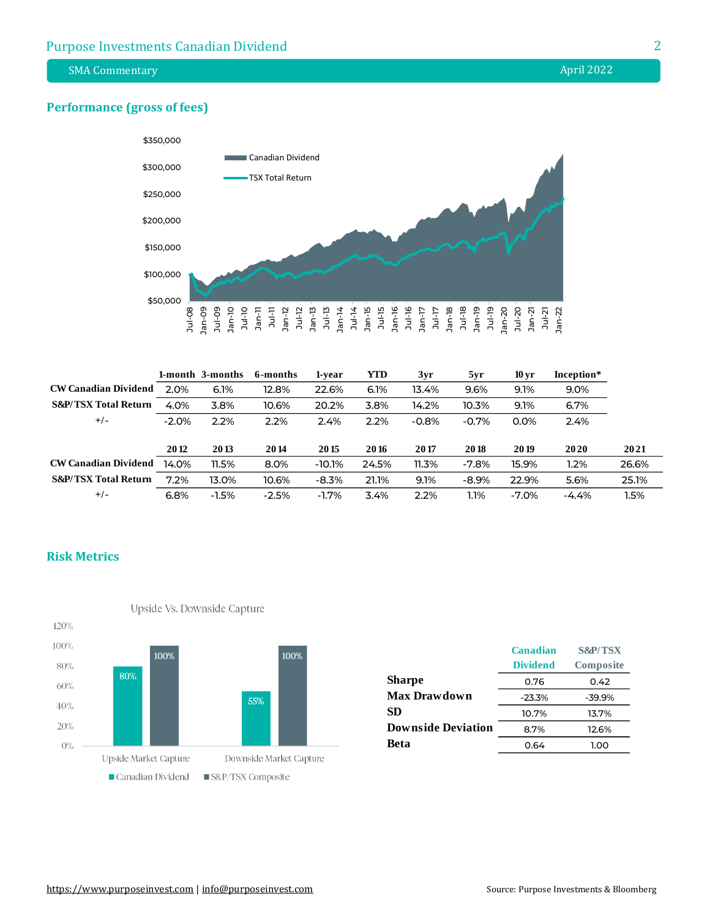SMA Commentary **April 2022** 

#### **Performance (gross of fees)**



|                                 |         | 1-month 3-months | 6-months | 1-vear   | <b>YTD</b> | 3yr     | 5yr     | 10 <sub>vr</sub> | Inception* |       |
|---------------------------------|---------|------------------|----------|----------|------------|---------|---------|------------------|------------|-------|
| <b>CW Canadian Dividend</b>     | 2.0%    | 6.1%             | 12.8%    | 22.6%    | 6.1%       | 13.4%   | 9.6%    | 9.1%             | 9.0%       |       |
| <b>S&amp;P/TSX Total Return</b> | 4.0%    | 3.8%             | 10.6%    | 20.2%    | 3.8%       | 14.2%   | 10.3%   | 9.1%             | 6.7%       |       |
| $+/-$                           | $-2.0%$ | 2.2%             | 2.2%     | 2.4%     | 2.2%       | $-0.8%$ | $-0.7%$ | 0.0%             | 2.4%       |       |
|                                 |         |                  |          |          |            |         |         |                  |            |       |
|                                 | 2012    | 2013             | 2014     | 2015     | 2016       | 2017    | 2018    | 2019             | 20 20      | 2021  |
| <b>CW Canadian Dividend</b>     | 14.0%   | 11.5%            | 8.0%     | $-10.1%$ | 24.5%      | 11.3%   | $-7.8%$ | 15.9%            | 1.2%       | 26.6% |
| <b>S&amp;P/TSX Total Return</b> | 7.2%    | 13.0%            | 10.6%    | $-8.3%$  | 21.1%      | 9.1%    | $-8.9%$ | 22.9%            | 5.6%       | 25.1% |
| $+/-$                           | 6.8%    | $-1.5%$          | $-2.5%$  | $-1.7%$  | 3.4%       | 2.2%    | 1.1%    | $-7.0\%$         | $-4.4%$    | l.5%  |

#### **Risk Metrics**



| Canadian        | <b>S&amp;P/TSX</b> |
|-----------------|--------------------|
| <b>Dividend</b> | <b>Composite</b>   |
| 0.76            | 0.42               |
| $-23.3%$        | $-39.9%$           |
| 10.7%           | 13.7%              |
| 8.7%            | 12.6%              |
| 0.64            | 1.00               |
|                 |                    |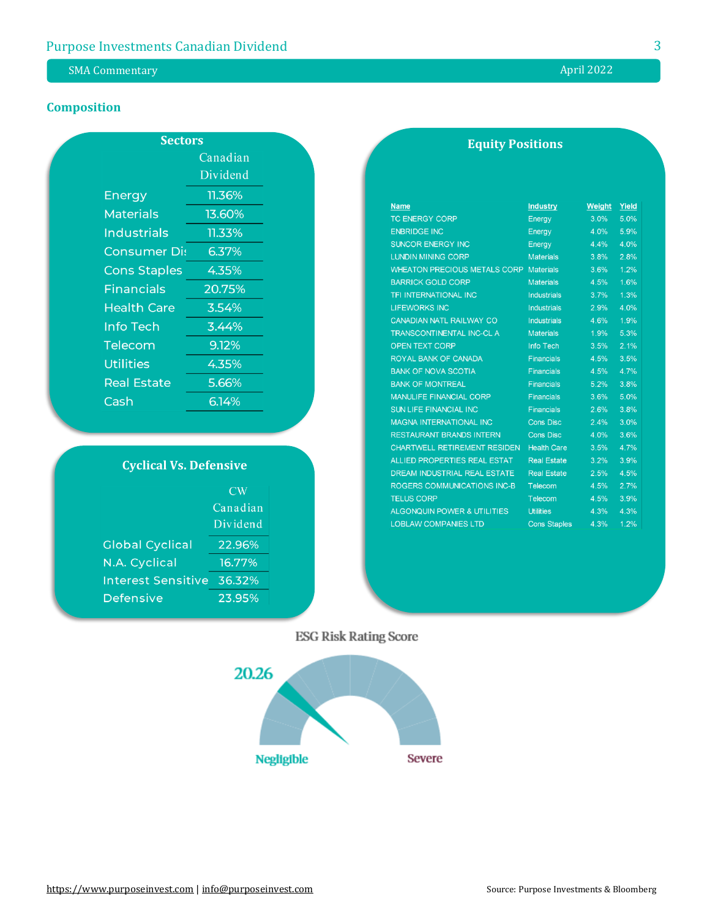# SMA Commentary **April 2022**

# **Composition**

| <b>Sectors</b>      |          |  |  |  |
|---------------------|----------|--|--|--|
|                     | Canadian |  |  |  |
|                     | Dividend |  |  |  |
| Energy              | 11.36%   |  |  |  |
| Materials           | 13.60%   |  |  |  |
| <b>Industrials</b>  | 11.33%   |  |  |  |
| <u>Consumer Di:</u> | 6.37%    |  |  |  |
| <b>Cons Staples</b> | 4.35%    |  |  |  |
| <b>Financials</b>   | 20.75%   |  |  |  |
| <b>Health Care</b>  | 3.54%    |  |  |  |
| Info Tech           | 3.44%    |  |  |  |
| Telecom             | 9.12%    |  |  |  |
| Utilities           | 4.35%    |  |  |  |
| <b>Real Estate</b>  | 5.66%    |  |  |  |
| Cash                | 6.14%    |  |  |  |

| <b>Cyclical Vs. Defensive</b> |          |  |  |
|-------------------------------|----------|--|--|
|                               | CW       |  |  |
|                               | Canadian |  |  |
|                               | Dividend |  |  |
| <b>Global Cyclical</b>        | 22.96%   |  |  |
| N.A. Cyclical                 | 16.77%   |  |  |
| <b>Interest Sensitive</b>     | 36.32%   |  |  |
| Defensive                     | 23.95%   |  |  |

| <b>Equity Positions</b> |
|-------------------------|
|-------------------------|

| <b>Name</b>                            | <b>Industry</b>     | <b>Weight</b> | Yield |
|----------------------------------------|---------------------|---------------|-------|
| <b>TC ENERGY CORP</b>                  | Energy              | 3.0%          | 5.0%  |
| <b>ENBRIDGE INC</b>                    | Energy              | 4.0%          | 5.9%  |
| <b>SUNCOR ENERGY INC</b>               | Energy              | 4.4%          | 4.0%  |
| <b>LUNDIN MINING CORP</b>              | <b>Materials</b>    | 3.8%          | 2.8%  |
| <b>WHEATON PRECIOUS METALS CORP</b>    | <b>Materials</b>    | 3.6%          | 1.2%  |
| <b>BARRICK GOLD CORP</b>               | <b>Materials</b>    | 4.5%          | 1.6%  |
| <b>TFI INTERNATIONAL INC</b>           | <b>Industrials</b>  | 3.7%          | 1.3%  |
| <b>LIFEWORKS INC</b>                   | <b>Industrials</b>  | 2.9%          | 4.0%  |
| <b>CANADIAN NATL RAILWAY CO</b>        | <b>Industrials</b>  | 4.6%          | 1.9%  |
| <b>TRANSCONTINENTAL INC-CL A</b>       | <b>Materials</b>    | 1.9%          | 5.3%  |
| <b>OPEN TEXT CORP</b>                  | <b>Info Tech</b>    | 3.5%          | 2.1%  |
| <b>ROYAL BANK OF CANADA</b>            | <b>Financials</b>   | 4.5%          | 3.5%  |
| <b>BANK OF NOVA SCOTIA</b>             | <b>Financials</b>   | 4.5%          | 4.7%  |
| <b>BANK OF MONTREAL</b>                | <b>Financials</b>   | 5.2%          | 3.8%  |
| <b>MANULIFE FINANCIAL CORP</b>         | <b>Financials</b>   | 3.6%          | 5.0%  |
| <b>SUN LIFE FINANCIAL INC</b>          | <b>Financials</b>   | 2.6%          | 3.8%  |
| <b>MAGNA INTERNATIONAL INC</b>         | <b>Cons Disc</b>    | 2.4%          | 3.0%  |
| <b>RESTAURANT BRANDS INTERN</b>        | <b>Cons Disc</b>    | 4.0%          | 3.6%  |
| <b>CHARTWELL RETIREMENT RESIDEN</b>    | <b>Health Care</b>  | 3.5%          | 4.7%  |
| <b>ALLIED PROPERTIES REAL ESTAT</b>    | <b>Real Estate</b>  | 3.2%          | 3.9%  |
| <b>DREAM INDUSTRIAL REAL ESTATE</b>    | <b>Real Estate</b>  | 2.5%          | 4.5%  |
| <b>ROGERS COMMUNICATIONS INC-B</b>     | Telecom             | 4.5%          | 2.7%  |
| <b>TELUS CORP</b>                      | Telecom             | 4.5%          | 3.9%  |
| <b>ALGONQUIN POWER &amp; UTILITIES</b> | <b>Utilities</b>    | 4.3%          | 4.3%  |
| <b>LOBLAW COMPANIES LTD</b>            | <b>Cons Staples</b> | 4.3%          | 1.2%  |

**ESG Risk Rating Score**